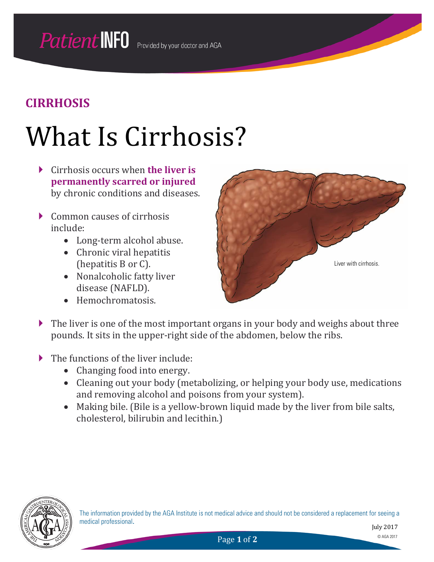## What Is Cirrhosis?

- Cirrhosis occurs when **the liver is permanently scarred or injured** by chronic conditions and diseases.
- Common causes of cirrhosis include:
	- Long-term alcohol abuse.
	- Chronic viral hepatitis (hepatitis B or C).
	- Nonalcoholic fatty liver disease (NAFLD).
	- Hemochromatosis.



- If the liver is one of the most important organs in your body and weighs about three pounds. It sits in the upper-right side of the abdomen, below the ribs.
- The functions of the liver include:
	- Changing food into energy.
	- Cleaning out your body (metabolizing, or helping your body use, medications and removing alcohol and poisons from your system).
	- Making bile. (Bile is a yellow-brown liquid made by the liver from bile salts, cholesterol, bilirubin and lecithin.)

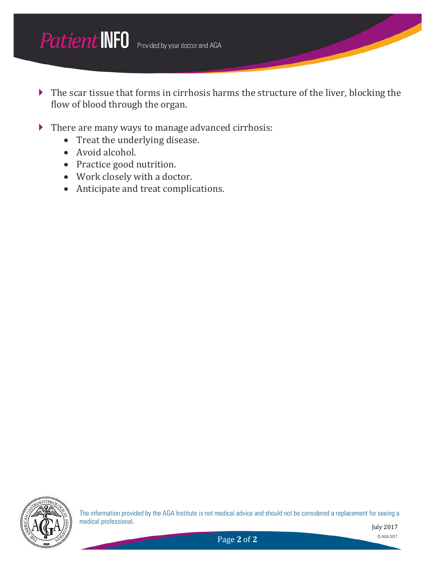

- The scar tissue that forms in cirrhosis harms the structure of the liver, blocking the flow of blood through the organ.
- There are many ways to manage advanced cirrhosis:
	- Treat the underlying disease.
	- Avoid alcohol.
	- Practice good nutrition.
	- Work closely with a doctor.
	- Anticipate and treat complications.



The information provided by the AGA Institute is not medical advice and should not be considered a replacement for seeing a medical professional.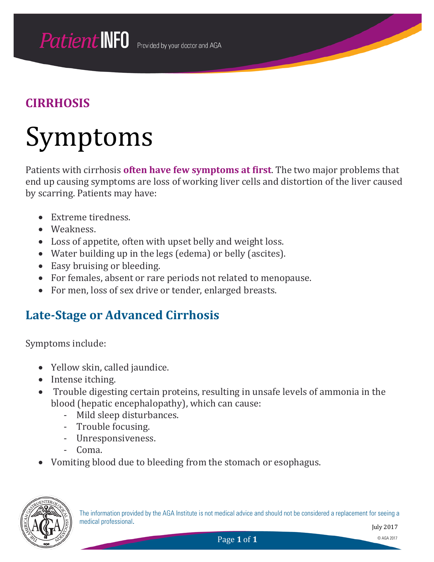## Symptoms

Patients with cirrhosis **often have few symptoms at first**. The two major problems that end up causing symptoms are loss of working liver cells and distortion of the liver caused by scarring. Patients may have:

- Extreme tiredness.
- Weakness.
- Loss of appetite, often with upset belly and weight loss.
- Water building up in the legs (edema) or belly (ascites).
- Easy bruising or bleeding.
- For females, absent or rare periods not related to menopause.
- For men, loss of sex drive or tender, enlarged breasts.

### **Late-Stage or Advanced Cirrhosis**

Symptoms include:

- Yellow skin, called jaundice.
- Intense itching.
- Trouble digesting certain proteins, resulting in unsafe levels of ammonia in the blood (hepatic encephalopathy), which can cause:
	- Mild sleep disturbances.
	- Trouble focusing.
	- Unresponsiveness.
	- Coma.
- Vomiting blood due to bleeding from the stomach or esophagus.

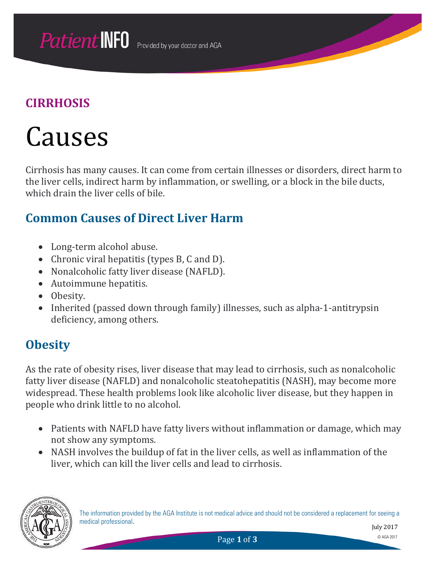## Causes

Cirrhosis has many causes. It can come from certain illnesses or disorders, direct harm to the liver cells, indirect harm by inflammation, or swelling, or a block in the bile ducts, which drain the liver cells of bile.

### **Common Causes of Direct Liver Harm**

- Long-term alcohol abuse.
- Chronic viral hepatitis (types B, C and D).
- Nonalcoholic fatty liver disease (NAFLD).
- Autoimmune hepatitis.
- Obesity.
- Inherited (passed down through family) illnesses, such as alpha-1-antitrypsin deficiency, among others.

### **Obesity**

As the rate of obesity rises, liver disease that may lead to cirrhosis, such as nonalcoholic fatty liver disease (NAFLD) and nonalcoholic steatohepatitis (NASH), may become more widespread. These health problems look like alcoholic liver disease, but they happen in people who drink little to no alcohol.

- Patients with NAFLD have fatty livers without inflammation or damage, which may not show any symptoms.
- NASH involves the buildup of fat in the liver cells, as well as inflammation of the liver, which can kill the liver cells and lead to cirrhosis.

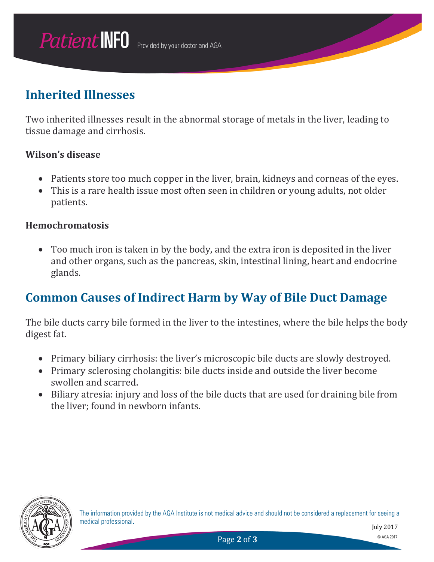### **Inherited Illnesses**

Two inherited illnesses result in the abnormal storage of metals in the liver, leading to tissue damage and cirrhosis.

#### **Wilson's disease**

- Patients store too much copper in the liver, brain, kidneys and corneas of the eyes.
- This is a rare health issue most often seen in children or young adults, not older patients.

#### **Hemochromatosis**

• Too much iron is taken in by the body, and the extra iron is deposited in the liver and other organs, such as the pancreas, skin, intestinal lining, heart and endocrine glands.

### **Common Causes of Indirect Harm by Way of Bile Duct Damage**

The bile ducts carry bile formed in the liver to the intestines, where the bile helps the body digest fat.

- Primary biliary cirrhosis: the liver's microscopic bile ducts are slowly destroyed.
- Primary sclerosing cholangitis: bile ducts inside and outside the liver become swollen and scarred.
- Biliary atresia: injury and loss of the bile ducts that are used for draining bile from the liver; found in newborn infants.

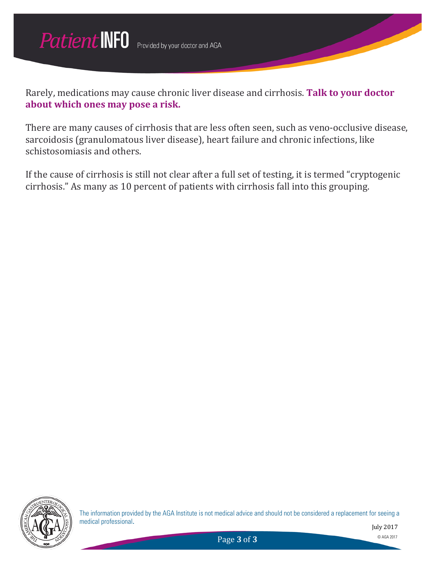

Rarely, medications may cause chronic liver disease and cirrhosis. **Talk to your doctor about which ones may pose a risk.**

There are many causes of cirrhosis that are less often seen, such as veno-occlusive disease, sarcoidosis (granulomatous liver disease), heart failure and chronic infections, like schistosomiasis and others.

If the cause of cirrhosis is still not clear after a full set of testing, it is termed "cryptogenic cirrhosis." As many as 10 percent of patients with cirrhosis fall into this grouping.



The information provided by the AGA Institute is not medical advice and should not be considered a replacement for seeing a medical professional.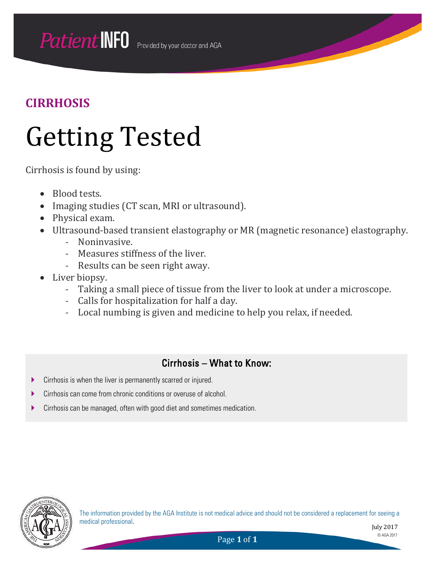## Getting Tested

Cirrhosis is found by using:

- Blood tests.
- Imaging studies (CT scan, MRI or ultrasound).
- Physical exam.
- Ultrasound-based transient elastography or MR (magnetic resonance) elastography.
	- Noninvasive.
	- Measures stiffness of the liver.
	- Results can be seen right away.
- Liver biopsy.
	- Taking a small piece of tissue from the liver to look at under a microscope.
	- Calls for hospitalization for half a day.
	- Local numbing is given and medicine to help you relax, if needed.

#### Cirrhosis – What to Know:

- **EXECT** Cirrhosis is when the liver is permanently scarred or injured.
- Cirrhosis can come from chronic conditions or overuse of alcohol.
- Cirrhosis can be managed, often with good diet and sometimes medication.



The information provided by the AGA Institute is not medical advice and should not be considered a replacement for seeing a medical professional.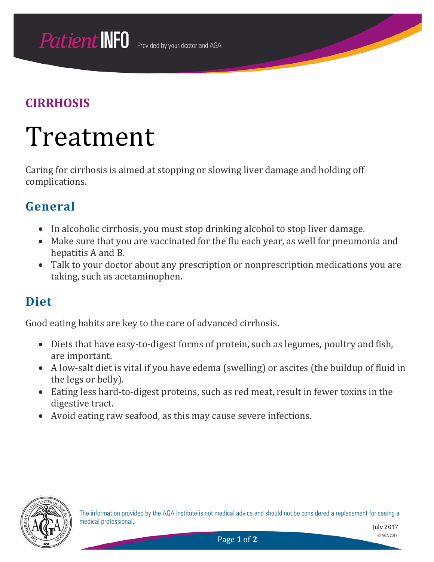## Treatment

Caring for cirrhosis is aimed at stopping or slowing liver damage and holding off complications.

### **General**

- In alcoholic cirrhosis, you must stop drinking alcohol to stop liver damage.
- Make sure that you are vaccinated for the flu each year, as well for pneumonia and hepatitis A and B.
- Talk to your doctor about any prescription or nonprescription medications you are taking, such as acetaminophen.

### **Diet**

Good eating habits are key to the care of advanced cirrhosis.

- Diets that have easy-to-digest forms of protein, such as legumes, poultry and fish, are important.
- A low-salt diet is vital if you have edema (swelling) or ascites (the buildup of fluid in the legs or belly).
- Eating less hard-to-digest proteins, such as red meat, result in fewer toxins in the digestive tract.
- Avoid eating raw seafood, as this may cause severe infections.

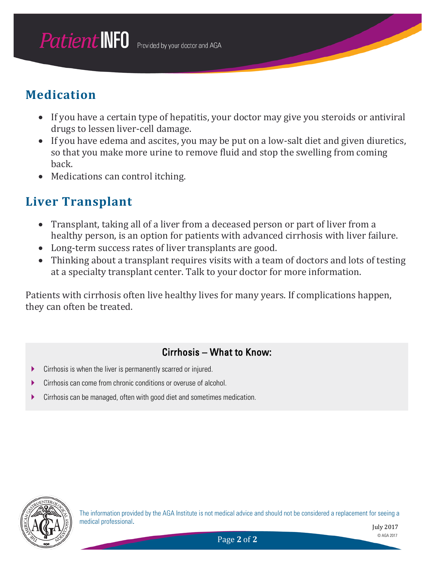### **Medication**

- If you have a certain type of hepatitis, your doctor may give you steroids or antiviral drugs to lessen liver-cell damage.
- If you have edema and ascites, you may be put on a low-salt diet and given diuretics, so that you make more urine to remove fluid and stop the swelling from coming back.
- Medications can control itching.

### **Liver Transplant**

- Transplant, taking all of a liver from a deceased person or part of liver from a healthy person, is an option for patients with advanced cirrhosis with liver failure.
- Long-term success rates of liver transplants are good.
- Thinking about a transplant requires visits with a team of doctors and lots of testing at a specialty transplant center. Talk to your doctor for more information.

Patients with cirrhosis often live healthy lives for many years. If complications happen, they can often be treated.

#### Cirrhosis – What to Know:

- Cirrhosis is when the liver is permanently scarred or injured.
- Cirrhosis can come from chronic conditions or overuse of alcohol.
- Cirrhosis can be managed, often with good diet and sometimes medication.



The information provided by the AGA Institute is not medical advice and should not be considered a replacement for seeing a medical professional.